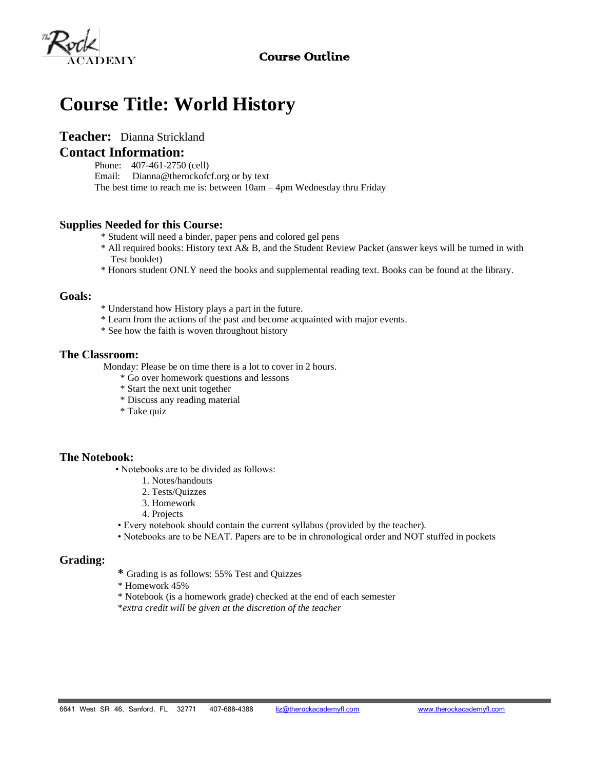# Course Outline



# **Course Title: World History**

# **Teacher:** Dianna Strickland

# **Contact Information:**

- Phone: 407-461-2750 (cell)
- Email: Dianna@therockofcf.org or by text
- The best time to reach me is: between 10am 4pm Wednesday thru Friday

## **Supplies Needed for this Course:**

- \* Student will need a binder, paper pens and colored gel pens
- \* All required books: History text A& B, and the Student Review Packet (answer keys will be turned in with Test booklet)
- \* Honors student ONLY need the books and supplemental reading text. Books can be found at the library.

#### **Goals:**

- \* Understand how History plays a part in the future.
- \* Learn from the actions of the past and become acquainted with major events.
- \* See how the faith is woven throughout history

#### **The Classroom:**

Monday: Please be on time there is a lot to cover in 2 hours.

- \* Go over homework questions and lessons
- \* Start the next unit together
- \* Discuss any reading material
- \* Take quiz

## **The Notebook:**

- Notebooks are to be divided as follows:
	- 1. Notes/handouts
	- 2. Tests/Quizzes
	- 3. Homework
	- 4. Projects
- Every notebook should contain the current syllabus (provided by the teacher).
- Notebooks are to be NEAT. Papers are to be in chronological order and NOT stuffed in pockets

## **Grading:**

- **\*** Grading is as follows: 55% Test and Quizzes
- \* Homework 45%
- \* Notebook (is a homework grade) checked at the end of each semester
- \**extra credit will be given at the discretion of the teacher*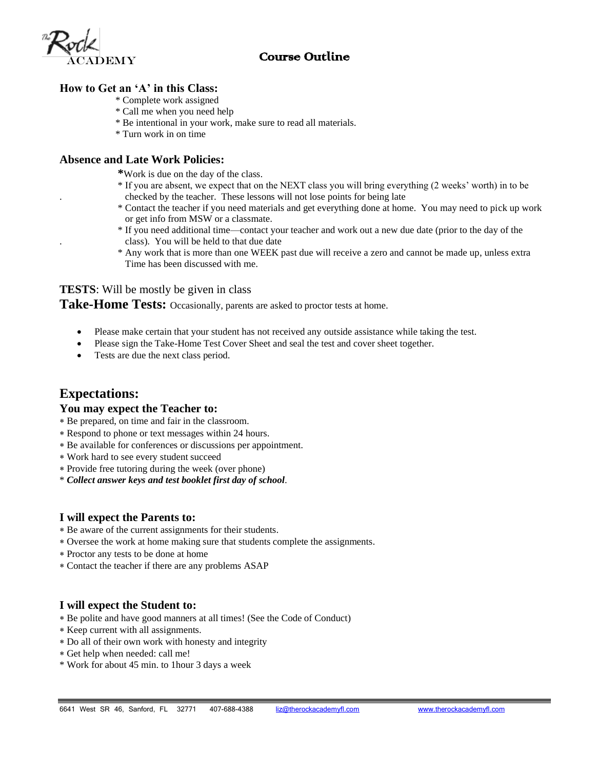# Course Outline



# **How to Get an 'A' in this Class:**

- \* Complete work assigned
- \* Call me when you need help
- \* Be intentional in your work, make sure to read all materials.
- \* Turn work in on time

#### **Absence and Late Work Policies:**

- **\***Work is due on the day of the class.
- \* If you are absent, we expect that on the NEXT class you will bring everything (2 weeks' worth) in to be . checked by the teacher. These lessons will not lose points for being late
- \* Contact the teacher if you need materials and get everything done at home. You may need to pick up work or get info from MSW or a classmate.
- \* If you need additional time—contact your teacher and work out a new due date (prior to the day of the . class). You will be held to that due date
- \* Any work that is more than one WEEK past due will receive a zero and cannot be made up, unless extra Time has been discussed with me.

# **TESTS**: Will be mostly be given in class

Take-Home Tests: Occasionally, parents are asked to proctor tests at home.

- Please make certain that your student has not received any outside assistance while taking the test.
- Please sign the Take-Home Test Cover Sheet and seal the test and cover sheet together.
- Tests are due the next class period.

# **Expectations:**

#### **You may expect the Teacher to:**

- Be prepared, on time and fair in the classroom.
- Respond to phone or text messages within 24 hours.
- Be available for conferences or discussions per appointment.
- Work hard to see every student succeed
- Provide free tutoring during the week (over phone)
- \* *Collect answer keys and test booklet first day of school*.

## **I will expect the Parents to:**

- Be aware of the current assignments for their students.
- Oversee the work at home making sure that students complete the assignments.
- Proctor any tests to be done at home
- Contact the teacher if there are any problems ASAP

## **I will expect the Student to:**

- Be polite and have good manners at all times! (See the Code of Conduct)
- Keep current with all assignments.
- Do all of their own work with honesty and integrity
- Get help when needed: call me!
- \* Work for about 45 min. to 1hour 3 days a week